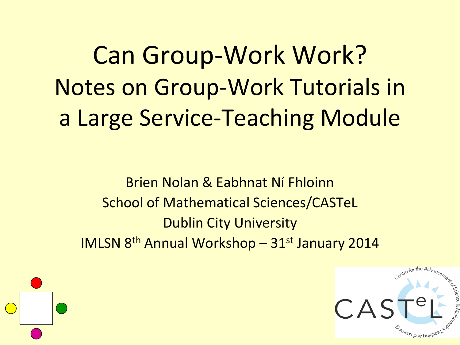Can Group-Work Work? Notes on Group-Work Tutorials in a Large Service-Teaching Module

Brien Nolan & Eabhnat Ní Fhloinn School of Mathematical Sciences/CASTeL Dublin City University IMLSN 8th Annual Workshop – 31st January 2014

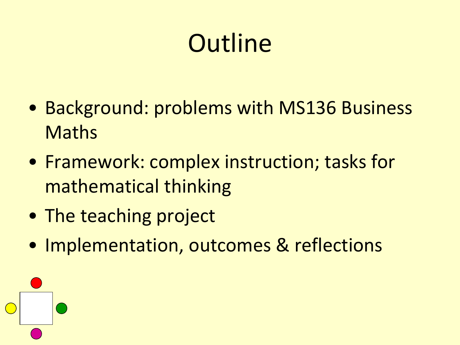# **Outline**

- Background: problems with MS136 Business Maths
- Framework: complex instruction; tasks for mathematical thinking
- The teaching project
- Implementation, outcomes & reflections

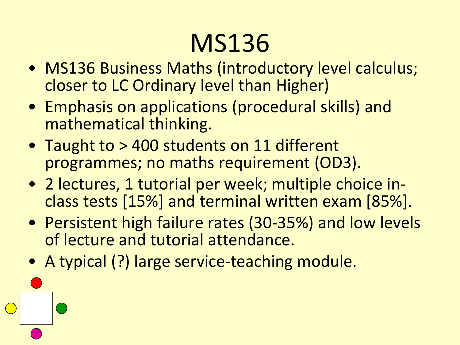# MS136

- MS136 Business Maths (introductory level calculus; closer to LC Ordinary level than Higher)
- Emphasis on applications (procedural skills) and mathematical thinking.
- Taught to > 400 students on 11 different programmes; no maths requirement (OD3).
- 2 lectures, 1 tutorial per week; multiple choice inclass tests [15%] and terminal written exam [85%].
- Persistent high failure rates (30-35%) and low levels of lecture and tutorial attendance.
- A typical (?) large service-teaching module.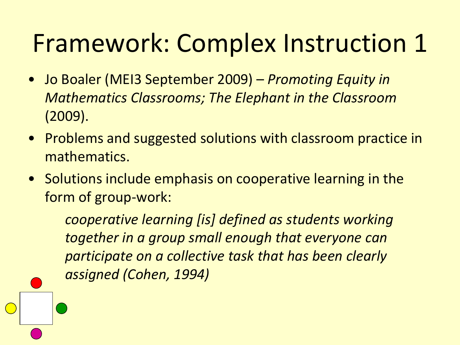## Framework: Complex Instruction 1

- Jo Boaler (MEI3 September 2009) *Promoting Equity in Mathematics Classrooms; The Elephant in the Classroom*  (2009).
- Problems and suggested solutions with classroom practice in mathematics.
- Solutions include emphasis on cooperative learning in the form of group-work:

*cooperative learning [is] defined as students working together in a group small enough that everyone can participate on a collective task that has been clearly assigned (Cohen, 1994)*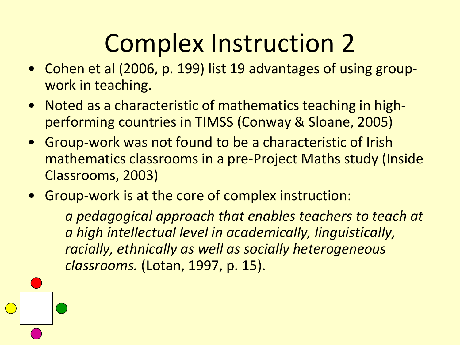# Complex Instruction 2

- Cohen et al (2006, p. 199) list 19 advantages of using groupwork in teaching.
- Noted as a characteristic of mathematics teaching in highperforming countries in TIMSS (Conway & Sloane, 2005)
- Group-work was not found to be a characteristic of Irish mathematics classrooms in a pre-Project Maths study (Inside Classrooms, 2003)
- Group-work is at the core of complex instruction:

*a pedagogical approach that enables teachers to teach at a high intellectual level in academically, linguistically, racially, ethnically as well as socially heterogeneous classrooms.* (Lotan, 1997, p. 15).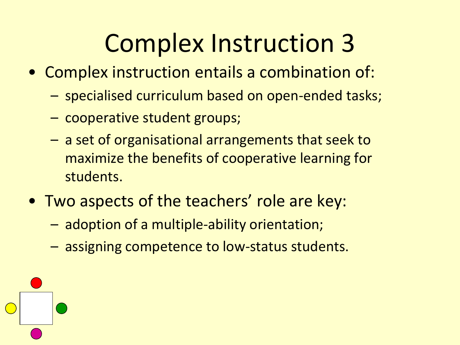## Complex Instruction 3

- Complex instruction entails a combination of:
	- specialised curriculum based on open-ended tasks;
	- cooperative student groups;
	- a set of organisational arrangements that seek to maximize the benefits of cooperative learning for students.
- Two aspects of the teachers' role are key:
	- adoption of a multiple-ability orientation;
	- assigning competence to low-status students.

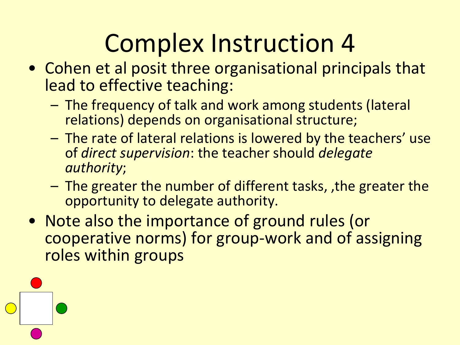# Complex Instruction 4

- Cohen et al posit three organisational principals that lead to effective teaching:
	- The frequency of talk and work among students (lateral relations) depends on organisational structure;
	- The rate of lateral relations is lowered by the teachers' use of *direct supervision*: the teacher should *delegate authority*;
	- The greater the number of different tasks, ,the greater the opportunity to delegate authority.
- Note also the importance of ground rules (or cooperative norms) for group-work and of assigning roles within groups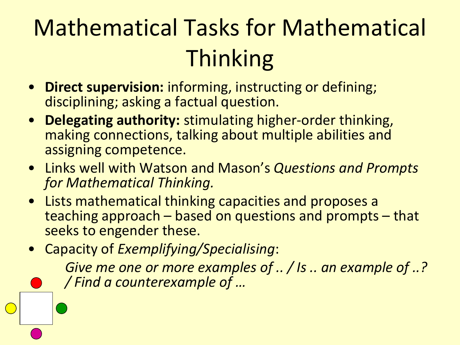## Mathematical Tasks for Mathematical **Thinking**

- **Direct supervision:** informing, instructing or defining; disciplining; asking a factual question.
- **Delegating authority:** stimulating higher-order thinking, making connections, talking about multiple abilities and assigning competence.
- Links well with Watson and Mason's *Questions and Prompts for Mathematical Thinking.*
- Lists mathematical thinking capacities and proposes a teaching approach – based on questions and prompts – that seeks to engender these.
- Capacity of *Exemplifying/Specialising*:

*Give me one or more examples of .. / Is .. an example of ..? / Find a counterexample of …*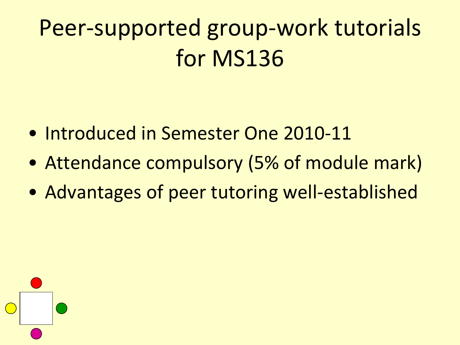#### Peer-supported group-work tutorials for MS136

- Introduced in Semester One 2010-11
- Attendance compulsory (5% of module mark)
- Advantages of peer tutoring well-established

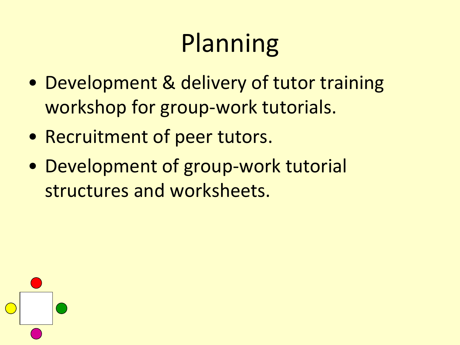# Planning

- Development & delivery of tutor training workshop for group-work tutorials.
- Recruitment of peer tutors.
- Development of group-work tutorial structures and worksheets.

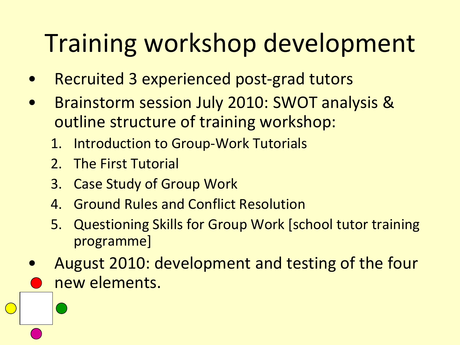# Training workshop development

- Recruited 3 experienced post-grad tutors
- Brainstorm session July 2010: SWOT analysis & outline structure of training workshop:
	- 1. Introduction to Group-Work Tutorials
	- 2. The First Tutorial
	- 3. Case Study of Group Work
	- 4. Ground Rules and Conflict Resolution
	- 5. Questioning Skills for Group Work [school tutor training programme]
- August 2010: development and testing of the four new elements.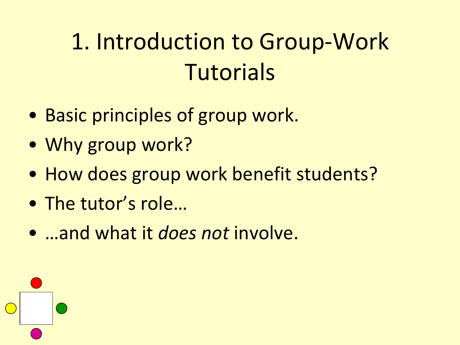#### 1. Introduction to Group-Work Tutorials

- Basic principles of group work.
- Why group work?
- How does group work benefit students?
- The tutor's role…
- …and what it *does not* involve.

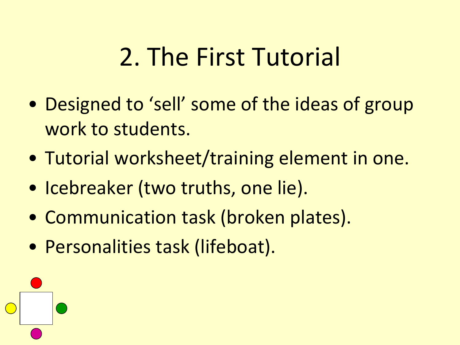#### 2. The First Tutorial

- Designed to 'sell' some of the ideas of group work to students.
- Tutorial worksheet/training element in one.
- Icebreaker (two truths, one lie).
- Communication task (broken plates).
- Personalities task (lifeboat).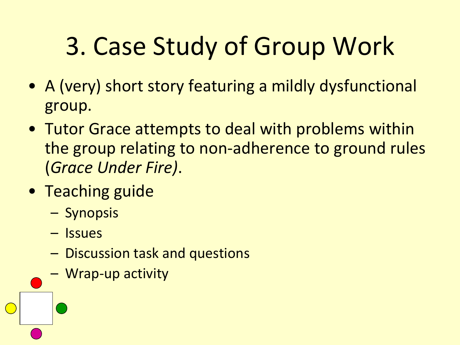# 3. Case Study of Group Work

- A (very) short story featuring a mildly dysfunctional group.
- Tutor Grace attempts to deal with problems within the group relating to non-adherence to ground rules (*Grace Under Fire)*.
- Teaching guide
	- Synopsis
	- Issues
	- Discussion task and questions
	- Wrap-up activity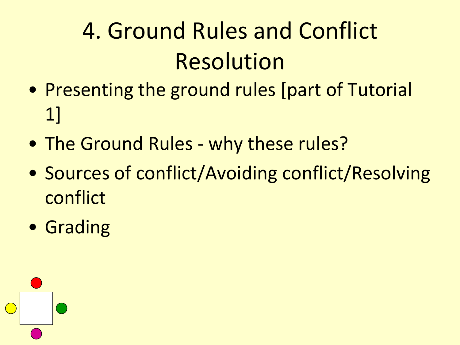## 4. Ground Rules and Conflict Resolution

- Presenting the ground rules [part of Tutorial 1]
- The Ground Rules why these rules?
- Sources of conflict/Avoiding conflict/Resolving conflict
- Grading

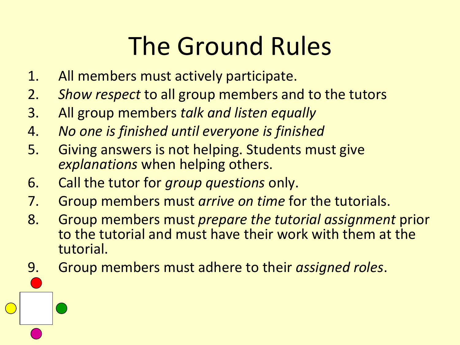# The Ground Rules

- 1. All members must actively participate.
- 2. *Show respect* to all group members and to the tutors
- 3. All group members *talk and listen equally*
- 4. *No one is finished until everyone is finished*
- 5. Giving answers is not helping. Students must give *explanations* when helping others.
- 6. Call the tutor for *group questions* only.
- 7. Group members must *arrive on time* for the tutorials.
- 8. Group members must *prepare the tutorial assignment* prior to the tutorial and must have their work with them at the tutorial.
- 9. Group members must adhere to their *assigned roles*.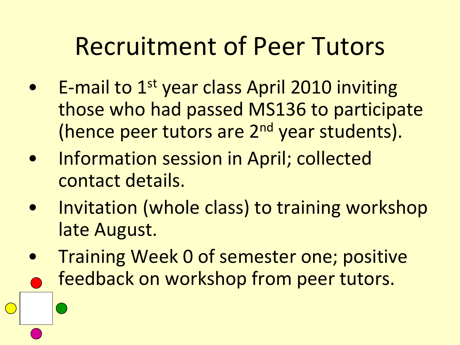#### Recruitment of Peer Tutors

- E-mail to 1<sup>st</sup> year class April 2010 inviting those who had passed MS136 to participate (hence peer tutors are 2<sup>nd</sup> year students).
- Information session in April; collected contact details.
- Invitation (whole class) to training workshop late August.
- Training Week 0 of semester one; positive feedback on workshop from peer tutors.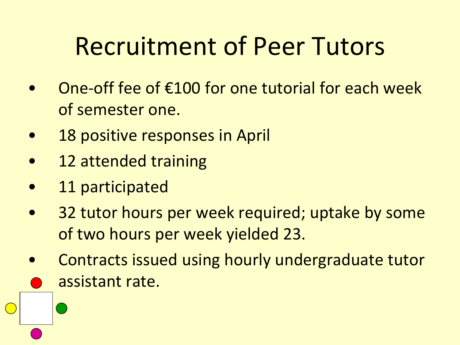### Recruitment of Peer Tutors

- One-off fee of €100 for one tutorial for each week of semester one.
- 18 positive responses in April
- 12 attended training
- 11 participated
- 32 tutor hours per week required; uptake by some of two hours per week yielded 23.
- Contracts issued using hourly undergraduate tutor assistant rate.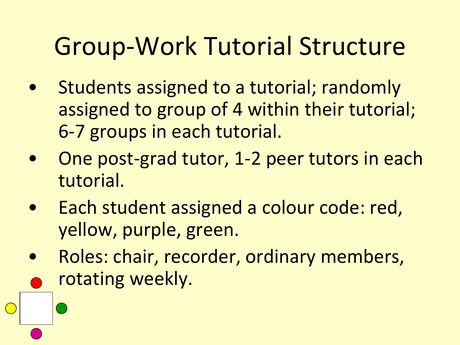### Group-Work Tutorial Structure

- Students assigned to a tutorial; randomly assigned to group of 4 within their tutorial; 6-7 groups in each tutorial.
- One post-grad tutor, 1-2 peer tutors in each tutorial.
- Each student assigned a colour code: red, yellow, purple, green.
- Roles: chair, recorder, ordinary members, rotating weekly.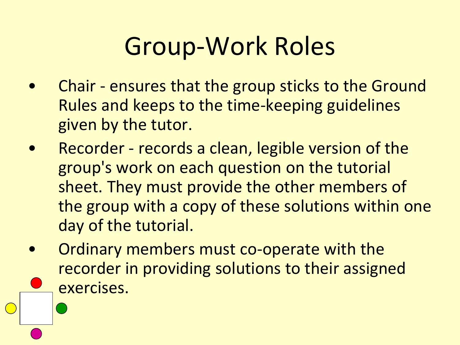## Group-Work Roles

- Chair ensures that the group sticks to the Ground Rules and keeps to the time-keeping guidelines given by the tutor.
- Recorder records a clean, legible version of the group's work on each question on the tutorial sheet. They must provide the other members of the group with a copy of these solutions within one day of the tutorial.
- Ordinary members must co-operate with the recorder in providing solutions to their assigned exercises.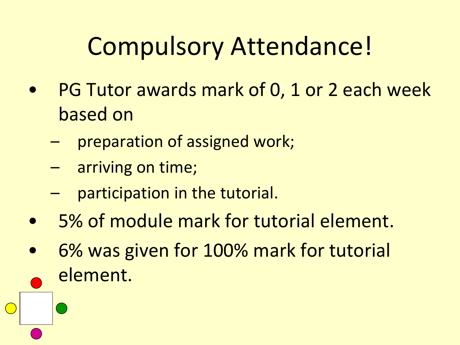### Compulsory Attendance!

- PG Tutor awards mark of 0, 1 or 2 each week based on
	- preparation of assigned work;
	- arriving on time;
	- participation in the tutorial.
- 5% of module mark for tutorial element.
- 6% was given for 100% mark for tutorial element.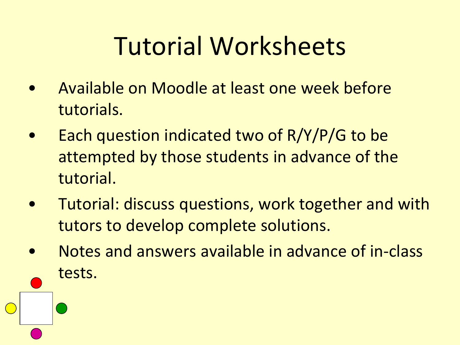# Tutorial Worksheets

- Available on Moodle at least one week before tutorials.
- Each question indicated two of R/Y/P/G to be attempted by those students in advance of the tutorial.
- Tutorial: discuss questions, work together and with tutors to develop complete solutions.
- Notes and answers available in advance of in-class tests.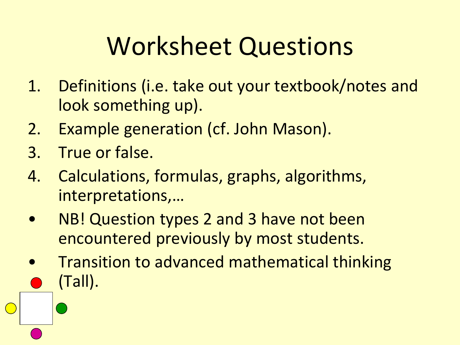## Worksheet Questions

- 1. Definitions (i.e. take out your textbook/notes and look something up).
- 2. Example generation (cf. John Mason).
- 3. True or false.
- 4. Calculations, formulas, graphs, algorithms, interpretations,…
- NB! Question types 2 and 3 have not been encountered previously by most students.
- Transition to advanced mathematical thinking (Tall).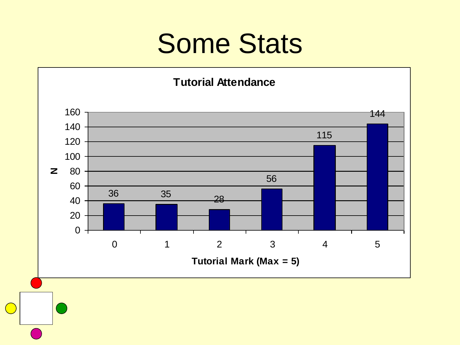### Some Stats

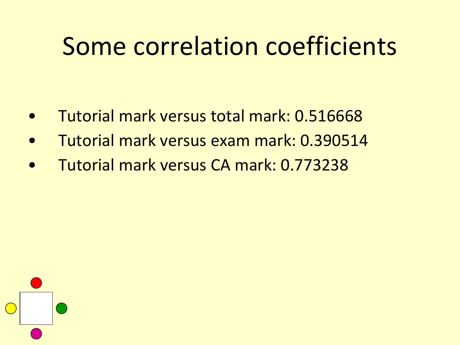#### Some correlation coefficients

- Tutorial mark versus total mark: 0.516668
- Tutorial mark versus exam mark: 0.390514
- Tutorial mark versus CA mark: 0.773238

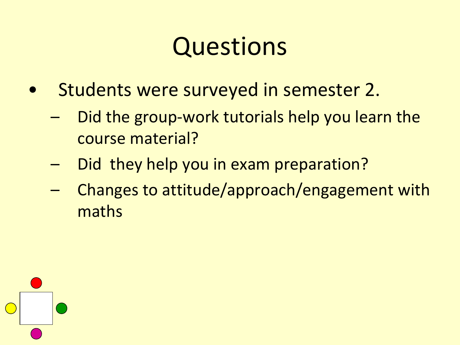#### Questions

- Students were surveyed in semester 2.
	- Did the group-work tutorials help you learn the course material?
	- Did they help you in exam preparation?
	- Changes to attitude/approach/engagement with maths

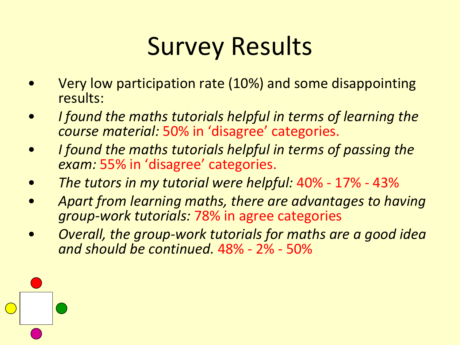# Survey Results

- Very low participation rate (10%) and some disappointing results:
- *I found the maths tutorials helpful in terms of learning the course material:* 50% in 'disagree' categories.
- *I found the maths tutorials helpful in terms of passing the exam:* 55% in 'disagree' categories.
- *The tutors in my tutorial were helpful:* 40% 17% 43%
- *Apart from learning maths, there are advantages to having group-work tutorials:* 78% in agree categories
- *Overall, the group-work tutorials for maths are a good idea and should be continued.* 48% - 2% - 50%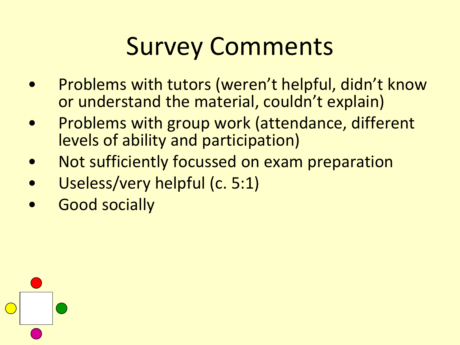# Survey Comments

- Problems with tutors (weren't helpful, didn't know or understand the material, couldn't explain)
- Problems with group work (attendance, different levels of ability and participation)
- Not sufficiently focussed on exam preparation
- Useless/very helpful (c. 5:1)
- Good socially

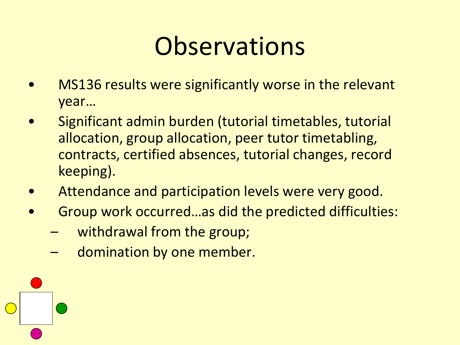### **Observations**

- MS136 results were significantly worse in the relevant year…
- Significant admin burden (tutorial timetables, tutorial allocation, group allocation, peer tutor timetabling, contracts, certified absences, tutorial changes, record keeping).
- Attendance and participation levels were very good.
- Group work occurred…as did the predicted difficulties:
	- withdrawal from the group;
	- domination by one member.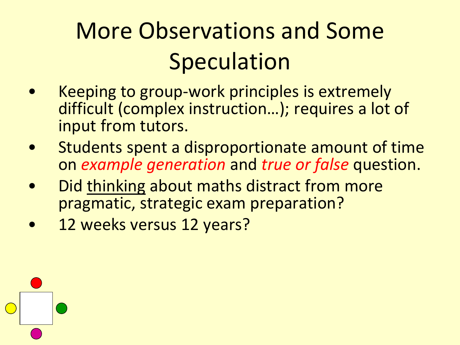### More Observations and Some **Speculation**

- Keeping to group-work principles is extremely difficult (complex instruction…); requires a lot of input from tutors.
- Students spent a disproportionate amount of time on *example generation* and *true or false* question.
- Did thinking about maths distract from more pragmatic, strategic exam preparation?
- 12 weeks versus 12 years?